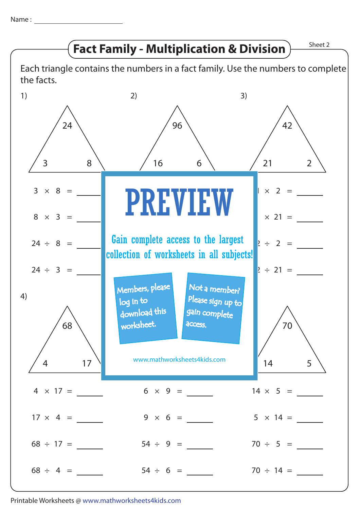Name :



Printable Worksheets @ www.mathworksheets4kids.com